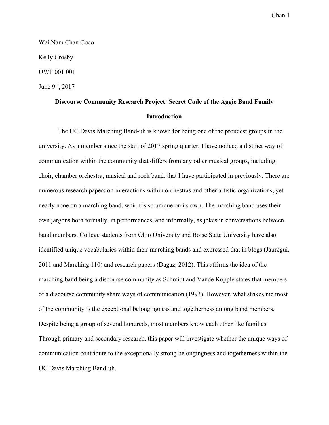Wai Nam Chan Coco Kelly Crosby UWP 001 001 June  $9<sup>th</sup>$ , 2017

# **Discourse Community Research Project: Secret Code of the Aggie Band Family Introduction**

The UC Davis Marching Band-uh is known for being one of the proudest groups in the university. As a member since the start of 2017 spring quarter, I have noticed a distinct way of communication within the community that differs from any other musical groups, including choir, chamber orchestra, musical and rock band, that I have participated in previously. There are numerous research papers on interactions within orchestras and other artistic organizations, yet nearly none on a marching band, which is so unique on its own. The marching band uses their own jargons both formally, in performances, and informally, as jokes in conversations between band members. College students from Ohio University and Boise State University have also identified unique vocabularies within their marching bands and expressed that in blogs (Jauregui, 2011 and Marching 110) and research papers (Dagaz, 2012). This affirms the idea of the marching band being a discourse community as Schmidt and Vande Kopple states that members of a discourse community share ways of communication (1993). However, what strikes me most of the community is the exceptional belongingness and togetherness among band members. Despite being a group of several hundreds, most members know each other like families. Through primary and secondary research, this paper will investigate whether the unique ways of communication contribute to the exceptionally strong belongingness and togetherness within the UC Davis Marching Band-uh.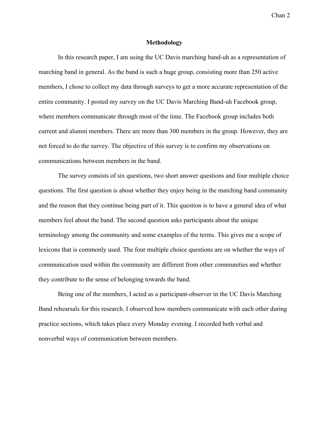#### **Methodology**

In this research paper, I am using the UC Davis marching band-uh as a representation of marching band in general. As the band is such a huge group, consisting more than 250 active members, I chose to collect my data through surveys to get a more accurate representation of the entire community. I posted my survey on the UC Davis Marching Band-uh Facebook group, where members communicate through most of the time. The Facebook group includes both current and alumni members. There are more than 300 members in the group. However, they are not forced to do the survey. The objective of this survey is to confirm my observations on communications between members in the band.

The survey consists of six questions, two short answer questions and four multiple choice questions. The first question is about whether they enjoy being in the marching band community and the reason that they continue being part of it. This question is to have a general idea of what members feel about the band. The second question asks participants about the unique terminology among the community and some examples of the terms. This gives me a scope of lexicons that is commonly used. The four multiple choice questions are on whether the ways of communication used within the community are different from other communities and whether they contribute to the sense of belonging towards the band.

Being one of the members, I acted as a participant-observer in the UC Davis Marching Band rehearsals for this research. I observed how members communicate with each other during practice sections, which takes place every Monday evening. I recorded both verbal and nonverbal ways of communication between members.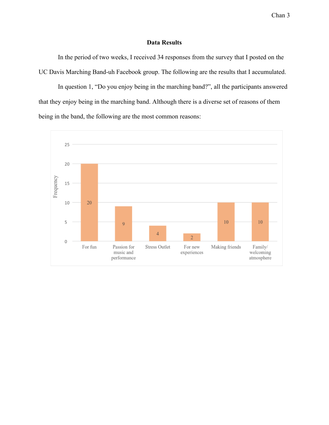# **Data Results**

In the period of two weeks, I received 34 responses from the survey that I posted on the UC Davis Marching Band-uh Facebook group. The following are the results that I accumulated.

In question 1, "Do you enjoy being in the marching band?", all the participants answered that they enjoy being in the marching band. Although there is a diverse set of reasons of them being in the band, the following are the most common reasons:

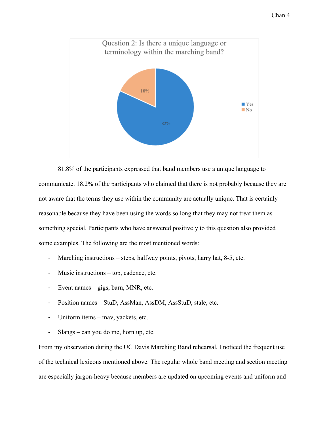

81.8% of the participants expressed that band members use a unique language to communicate. 18.2% of the participants who claimed that there is not probably because they are not aware that the terms they use within the community are actually unique. That is certainly reasonable because they have been using the words so long that they may not treat them as something special. Participants who have answered positively to this question also provided some examples. The following are the most mentioned words:

- Marching instructions steps, halfway points, pivots, harry hat, 8-5, etc.
- Music instructions top, cadence, etc.
- Event names gigs, barn, MNR, etc.
- Position names StuD, AssMan, AssDM, AssStuD, stale, etc.
- Uniform items mav, yackets, etc.
- Slangs can you do me, horn up, etc.

From my observation during the UC Davis Marching Band rehearsal, I noticed the frequent use of the technical lexicons mentioned above. The regular whole band meeting and section meeting are especially jargon-heavy because members are updated on upcoming events and uniform and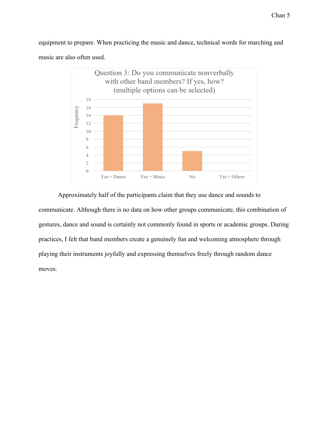equipment to prepare. When practicing the music and dance, technical words for marching and music are also often used.



Approximately half of the participants claim that they use dance and sounds to communicate. Although there is no data on how other groups communicate, this combination of gestures, dance and sound is certainly not commonly found in sports or academic groups. During practices, I felt that band members create a genuinely fun and welcoming atmosphere through playing their instruments joyfully and expressing themselves freely through random dance moves.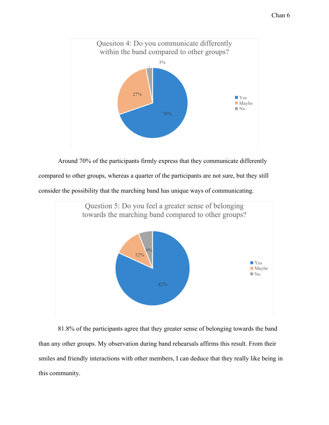

Around 70% of the participants firmly express that they communicate differently compared to other groups, whereas a quarter of the participants are not sure, but they still consider the possibility that the marching band has unique ways of communicating.



81.8% of the participants agree that they greater sense of belonging towards the band than any other groups. My observation during band rehearsals affirms this result. From their smiles and friendly interactions with other members, I can deduce that they really like being in this community.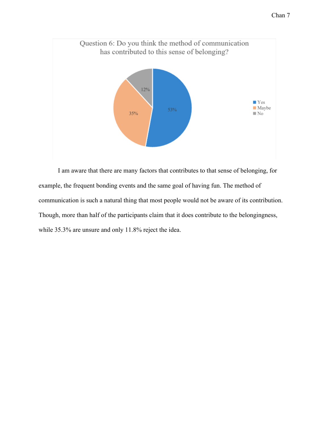

I am aware that there are many factors that contributes to that sense of belonging, for example, the frequent bonding events and the same goal of having fun. The method of communication is such a natural thing that most people would not be aware of its contribution. Though, more than half of the participants claim that it does contribute to the belongingness, while 35.3% are unsure and only 11.8% reject the idea.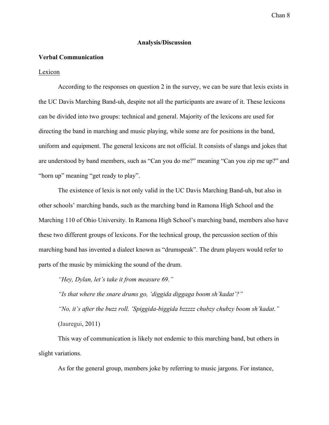# **Analysis/Discussion**

## **Verbal Communication**

#### Lexicon

According to the responses on question 2 in the survey, we can be sure that lexis exists in the UC Davis Marching Band-uh, despite not all the participants are aware of it. These lexicons can be divided into two groups: technical and general. Majority of the lexicons are used for directing the band in marching and music playing, while some are for positions in the band, uniform and equipment. The general lexicons are not official. It consists of slangs and jokes that are understood by band members, such as "Can you do me?" meaning "Can you zip me up?" and "horn up" meaning "get ready to play".

The existence of lexis is not only valid in the UC Davis Marching Band-uh, but also in other schools' marching bands, such as the marching band in Ramona High School and the Marching 110 of Ohio University. In Ramona High School's marching band, members also have these two different groups of lexicons. For the technical group, the percussion section of this marching band has invented a dialect known as "drumspeak". The drum players would refer to parts of the music by mimicking the sound of the drum.

*"Hey, Dylan, let's take it from measure 69."*

*"Is that where the snare drums go, 'diggida diggaga boom sh'kadat'?"*

*"No, it's after the buzz roll. 'Spiggida-biggida bzzzzz chubzy chubzy boom sh'kadat."* (Jauregui, 2011)

This way of communication is likely not endemic to this marching band, but others in slight variations.

As for the general group, members joke by referring to music jargons. For instance,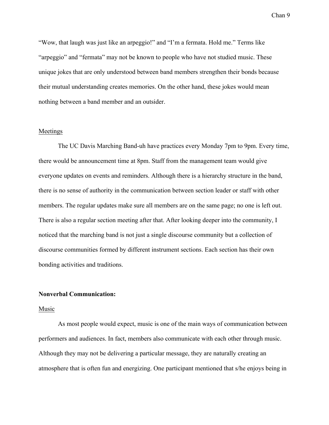"Wow, that laugh was just like an arpeggio!" and "I'm a fermata. Hold me." Terms like "arpeggio" and "fermata" may not be known to people who have not studied music. These unique jokes that are only understood between band members strengthen their bonds because their mutual understanding creates memories. On the other hand, these jokes would mean nothing between a band member and an outsider.

# Meetings

The UC Davis Marching Band-uh have practices every Monday 7pm to 9pm. Every time, there would be announcement time at 8pm. Staff from the management team would give everyone updates on events and reminders. Although there is a hierarchy structure in the band, there is no sense of authority in the communication between section leader or staff with other members. The regular updates make sure all members are on the same page; no one is left out. There is also a regular section meeting after that. After looking deeper into the community, I noticed that the marching band is not just a single discourse community but a collection of discourse communities formed by different instrument sections. Each section has their own bonding activities and traditions.

### **Nonverbal Communication:**

#### Music

As most people would expect, music is one of the main ways of communication between performers and audiences. In fact, members also communicate with each other through music. Although they may not be delivering a particular message, they are naturally creating an atmosphere that is often fun and energizing. One participant mentioned that s/he enjoys being in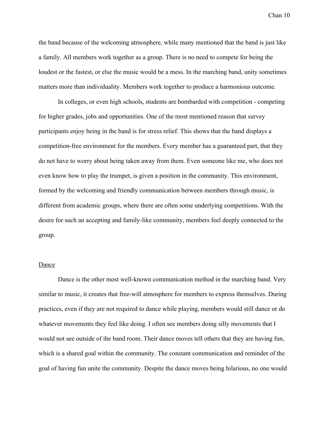the band because of the welcoming atmosphere, while many mentioned that the band is just like a family. All members work together as a group. There is no need to compete for being the loudest or the fastest, or else the music would be a mess. In the marching band, unity sometimes matters more than individuality. Members work together to produce a harmonious outcome.

In colleges, or even high schools, students are bombarded with competition - competing for higher grades, jobs and opportunities. One of the most mentioned reason that survey participants enjoy being in the band is for stress relief. This shows that the band displays a competition-free environment for the members. Every member has a guaranteed part, that they do not have to worry about being taken away from them. Even someone like me, who does not even know how to play the trumpet, is given a position in the community. This environment, formed by the welcoming and friendly communication between members through music, is different from academic groups, where there are often some underlying competitions. With the desire for such an accepting and family-like community, members feel deeply connected to the group.

#### Dance

Dance is the other most well-known communication method in the marching band. Very similar to music, it creates that free-will atmosphere for members to express themselves. During practices, even if they are not required to dance while playing, members would still dance or do whatever movements they feel like doing. I often see members doing silly movements that I would not see outside of the band room. Their dance moves tell others that they are having fun, which is a shared goal within the community. The constant communication and reminder of the goal of having fun unite the community. Despite the dance moves being hilarious, no one would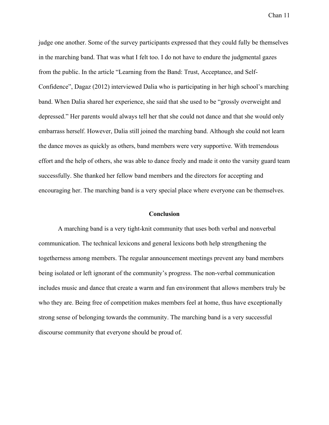judge one another. Some of the survey participants expressed that they could fully be themselves in the marching band. That was what I felt too. I do not have to endure the judgmental gazes from the public. In the article "Learning from the Band: Trust, Acceptance, and Self-Confidence", Dagaz (2012) interviewed Dalia who is participating in her high school's marching band. When Dalia shared her experience, she said that she used to be "grossly overweight and depressed." Her parents would always tell her that she could not dance and that she would only embarrass herself. However, Dalia still joined the marching band. Although she could not learn the dance moves as quickly as others, band members were very supportive. With tremendous effort and the help of others, she was able to dance freely and made it onto the varsity guard team successfully. She thanked her fellow band members and the directors for accepting and encouraging her. The marching band is a very special place where everyone can be themselves.

# **Conclusion**

A marching band is a very tight-knit community that uses both verbal and nonverbal communication. The technical lexicons and general lexicons both help strengthening the togetherness among members. The regular announcement meetings prevent any band members being isolated or left ignorant of the community's progress. The non-verbal communication includes music and dance that create a warm and fun environment that allows members truly be who they are. Being free of competition makes members feel at home, thus have exceptionally strong sense of belonging towards the community. The marching band is a very successful discourse community that everyone should be proud of.